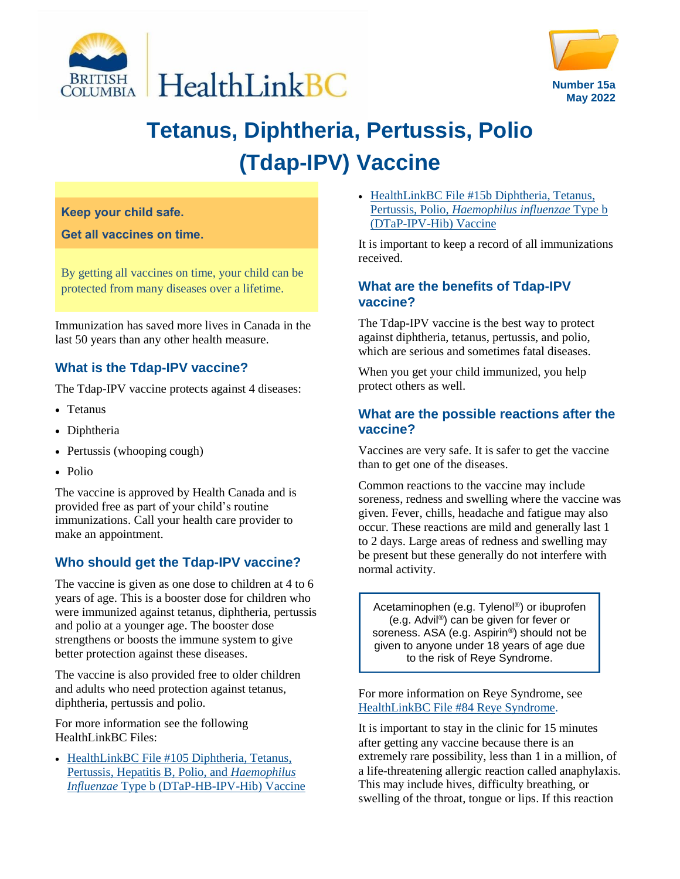



# **Tetanus, Diphtheria, Pertussis, Polio (Tdap-IPV) Vaccine**

#### **Keep your child safe.**

**Get all vaccines on time.**

By getting all vaccines on time, your child can be protected from many diseases over a lifetime.

Immunization has saved more lives in Canada in the last 50 years than any other health measure.

# **What is the Tdap-IPV vaccine?**

The Tdap-IPV vaccine protects against 4 diseases:

- Tetanus
- Diphtheria
- Pertussis (whooping cough)
- Polio

The vaccine is approved by Health Canada and is provided free as part of your child's routine immunizations. Call your health care provider to make an appointment.

# **Who should get the Tdap-IPV vaccine?**

The vaccine is given as one dose to children at 4 to 6 years of age. This is a booster dose for children who were immunized against tetanus, diphtheria, pertussis and polio at a younger age. The booster dose strengthens or boosts the immune system to give better protection against these diseases.

The vaccine is also provided free to older children and adults who need protection against tetanus, diphtheria, pertussis and polio.

For more information see the following HealthLinkBC Files:

• [HealthLinkBC File #105 Diphtheria, Tetanus,](https://www.healthlinkbc.ca/healthlinkbc-files/diphtheria-tetanus-pertussis-hepatitis-b-polio-and-haemophilus-influenzae-type-b) [Pertussis, Hepatitis B, Polio, and](https://www.healthlinkbc.ca/healthlinkbc-files/diphtheria-tetanus-pertussis-hepatitis-b-polio-and-haemophilus-influenzae-type-b) *Haemophilus Influenzae* [Type b \(DTaP-HB-IPV-Hib\) Vaccine](https://www.healthlinkbc.ca/healthlinkbc-files/diphtheria-tetanus-pertussis-hepatitis-b-polio-and-haemophilus-influenzae-type-b) • HealthLinkBC File #15b Diphtheria, Tetanus, Pertussis, Polio, *[Haemophilus influenzae](https://www.healthlinkbc.ca/healthlinkbc-files/diphtheria-tetanus-pertussis-polio-haemophilus-influenzae-type-b-dtap-ipv-hib)* Type b [\(DTaP-IPV-Hib\) Vaccine](https://www.healthlinkbc.ca/healthlinkbc-files/diphtheria-tetanus-pertussis-polio-haemophilus-influenzae-type-b-dtap-ipv-hib)

It is important to keep a record of all immunizations received.

## **What are the benefits of Tdap-IPV vaccine?**

The Tdap-IPV vaccine is the best way to protect against diphtheria, tetanus, pertussis, and polio, which are serious and sometimes fatal diseases.

When you get your child immunized, you help protect others as well.

## **What are the possible reactions after the vaccine?**

Vaccines are very safe. It is safer to get the vaccine than to get one of the diseases.

Common reactions to the vaccine may include soreness, redness and swelling where the vaccine was given. Fever, chills, headache and fatigue may also occur. These reactions are mild and generally last 1 to 2 days. Large areas of redness and swelling may be present but these generally do not interfere with normal activity.

Acetaminophen (e.g. Tylenol®) or ibuprofen (e.g. Advil®) can be given for fever or soreness. ASA (e.g. Aspirin®) should not be given to anyone under 18 years of age due to the risk of Reye Syndrome.

For more information on Reye Syndrome, see [HealthLinkBC File #84 Reye Syndrome.](https://www.healthlinkbc.ca/healthlinkbc-files/reye-syndrome)

It is important to stay in the clinic for 15 minutes after getting any vaccine because there is an extremely rare possibility, less than 1 in a million, of a life-threatening allergic reaction called anaphylaxis. This may include hives, difficulty breathing, or swelling of the throat, tongue or lips. If this reaction